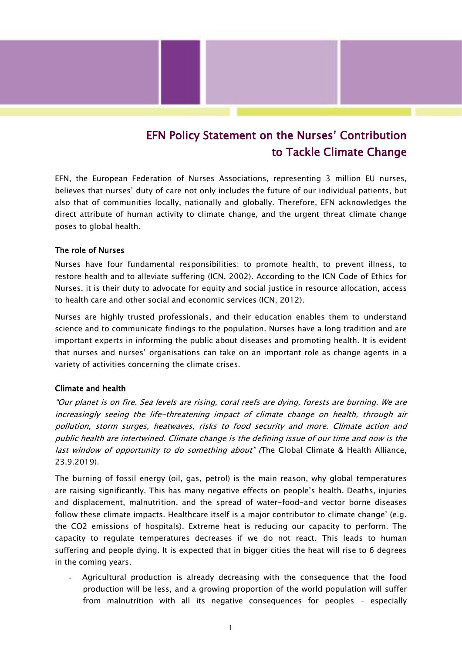# EFN Policy Statement on the Nurses' Contribution to Tackle Climate Change

EFN, the European Federation of Nurses Associations, representing 3 million EU nurses, believes that nurses' duty of care not only includes the future of our individual patients, but also that of communities locally, nationally and globally. Therefore, EFN acknowledges the direct attribute of human activity to climate change, and the urgent threat climate change poses to global health.

#### The role of Nurses

Nurses have four fundamental responsibilities: to promote health, to prevent illness, to restore health and to alleviate suffering (ICN, 2002). According to the ICN Code of Ethics for Nurses, it is their duty to advocate for equity and social justice in resource allocation, access to health care and other social and economic services (ICN, 2012).

Nurses are highly trusted professionals, and their education enables them to understand science and to communicate findings to the population. Nurses have a long tradition and are important experts in informing the public about diseases and promoting health. It is evident that nurses and nurses' organisations can take on an important role as change agents in a variety of activities concerning the climate crises.

#### Climate and health

"Our planet is on fire. Sea levels are rising, coral reefs are dying, forests are burning. We are increasingly seeing the life-threatening impact of climate change on health, through air pollution, storm surges, heatwaves, risks to food security and more. Climate action and public health are intertwined. Climate change is the defining issue of our time and now is the last window of opportunity to do something about" (The Global Climate & Health Alliance, 23.9.2019).

The burning of fossil energy (oil, gas, petrol) is the main reason, why global temperatures are raising significantly. This has many negative effects on people's health. Deaths, injuries and displacement, malnutrition, and the spread of water-food-and vector borne diseases follow these climate impacts. Healthcare itself is a major contributor to climate change' (e.g. the CO2 emissions of hospitals). Extreme heat is reducing our capacity to perform. The capacity to regulate temperatures decreases if we do not react. This leads to human suffering and people dying. It is expected that in bigger cities the heat will rise to 6 degrees in the coming years.

- Agricultural production is already decreasing with the consequence that the food production will be less, and a growing proportion of the world population will suffer from malnutrition with all its negative consequences for peoples – especially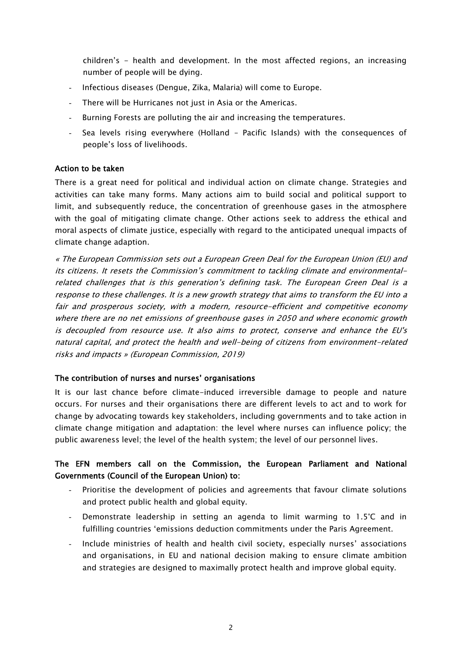children's - health and development. In the most affected regions, an increasing number of people will be dying.

- Infectious diseases (Dengue, Zika, Malaria) will come to Europe.
- There will be Hurricanes not just in Asia or the Americas.
- Burning Forests are polluting the air and increasing the temperatures.
- Sea levels rising everywhere (Holland Pacific Islands) with the consequences of people's loss of livelihoods.

#### Action to be taken

There is a great need for political and individual action on climate change. Strategies and activities can take many forms. Many actions aim to build social and political support to limit, and subsequently reduce, the concentration of greenhouse gases in the atmosphere with the goal of mitigating climate change. Other actions seek to address the ethical and moral aspects of climate justice, especially with regard to the anticipated unequal impacts of climate change adaption.

« The European Commission sets out a European Green Deal for the European Union (EU) and its citizens. It resets the Commission's commitment to tackling climate and environmentalrelated challenges that is this generation's defining task. The European Green Deal is a response to these challenges. It is a new growth strategy that aims to transform the EU into <sup>a</sup> fair and prosperous society, with a modern, resource-efficient and competitive economy where there are no net emissions of greenhouse gases in 2050 and where economic growth is decoupled from resource use. It also aims to protect, conserve and enhance the EU's natural capital, and protect the health and well-being of citizens from environment-related risks and impacts » (European Commission, 2019)

#### The contribution of nurses and nurses' organisations

It is our last chance before climate-induced irreversible damage to people and nature occurs. For nurses and their organisations there are different levels to act and to work for change by advocating towards key stakeholders, including governments and to take action in climate change mitigation and adaptation: the level where nurses can influence policy; the public awareness level; the level of the health system; the level of our personnel lives.

## The EFN members call on the Commission, the European Parliament and National Governments (Council of the European Union) to:

- Prioritise the development of policies and agreements that favour climate solutions and protect public health and global equity.
- Demonstrate leadership in setting an agenda to limit warming to 1.5°C and in fulfilling countries 'emissions deduction commitments under the Paris Agreement.
- Include ministries of health and health civil society, especially nurses' associations and organisations, in EU and national decision making to ensure climate ambition and strategies are designed to maximally protect health and improve global equity.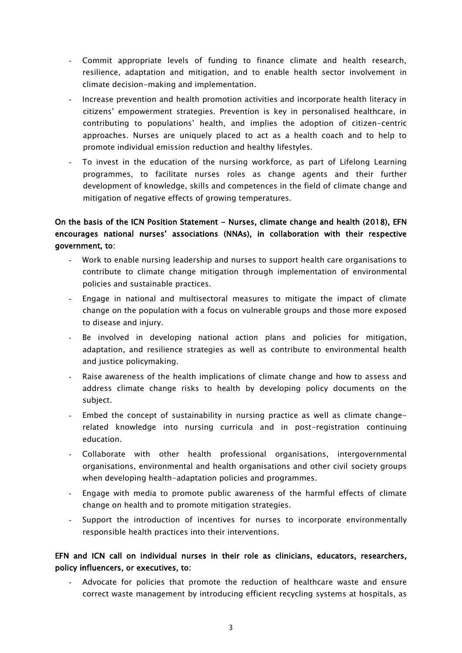- Commit appropriate levels of funding to finance climate and health research, resilience, adaptation and mitigation, and to enable health sector involvement in climate decision-making and implementation.
- Increase prevention and health promotion activities and incorporate health literacy in citizens' empowerment strategies. Prevention is key in personalised healthcare, in contributing to populations' health, and implies the adoption of citizen-centric approaches. Nurses are uniquely placed to act as a health coach and to help to promote individual emission reduction and healthy lifestyles.
- To invest in the education of the nursing workforce, as part of Lifelong Learning programmes, to facilitate nurses roles as change agents and their further development of knowledge, skills and competences in the field of climate change and mitigation of negative effects of growing temperatures.

# On the basis of the ICN Position Statement - Nurses, climate change and health (2018), EFN encourages national nurses' associations (NNAs), in collaboration with their respective government, to:

- Work to enable nursing leadership and nurses to support health care organisations to contribute to climate change mitigation through implementation of environmental policies and sustainable practices.
- Engage in national and multisectoral measures to mitigate the impact of climate change on the population with a focus on vulnerable groups and those more exposed to disease and injury.
- Be involved in developing national action plans and policies for mitigation, adaptation, and resilience strategies as well as contribute to environmental health and justice policymaking.
- Raise awareness of the health implications of climate change and how to assess and address climate change risks to health by developing policy documents on the subject.
- Embed the concept of sustainability in nursing practice as well as climate changerelated knowledge into nursing curricula and in post-registration continuing education.
- Collaborate with other health professional organisations, intergovernmental organisations, environmental and health organisations and other civil society groups when developing health-adaptation policies and programmes.
- Engage with media to promote public awareness of the harmful effects of climate change on health and to promote mitigation strategies.
- Support the introduction of incentives for nurses to incorporate environmentally responsible health practices into their interventions.

## EFN and ICN call on individual nurses in their role as clinicians, educators, researchers, policy influencers, or executives, to:

Advocate for policies that promote the reduction of healthcare waste and ensure correct waste management by introducing efficient recycling systems at hospitals, as